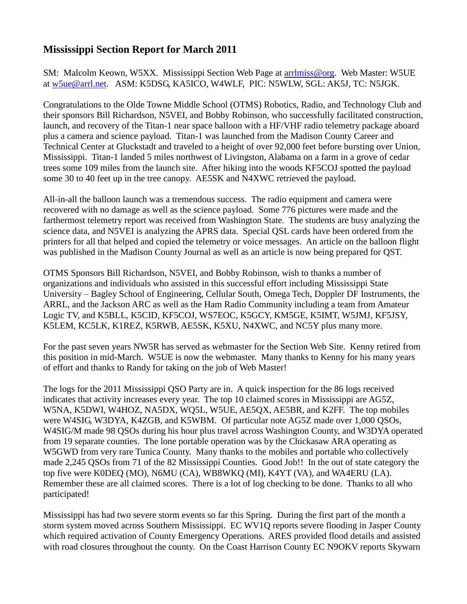## **Mississippi Section Report for March 2011**

SM: Malcolm Keown, W5XX. Mississippi Section Web Page at [arrlmiss@org.](mailto:arrlmiss@org) Web Master: W5UE at [w5ue@arrl.net.](mailto:w5ue@arrl.net) ASM: K5DSG, KA5ICO, W4WLF, PIC: N5WLW, SGL: AK5J, TC: N5JGK.

Congratulations to the Olde Towne Middle School (OTMS) Robotics, Radio, and Technology Club and their sponsors Bill Richardson, N5VEI, and Bobby Robinson, who successfully facilitated construction, launch, and recovery of the Titan-1 near space balloon with a HF/VHF radio telemetry package aboard plus a camera and science payload. Titan-1 was launched from the Madison County Career and Technical Center at Gluckstadt and traveled to a height of over 92,000 feet before bursting over Union, Mississippi. Titan-1 landed 5 miles northwest of Livingston, Alabama on a farm in a grove of cedar trees some 109 miles from the launch site. After hiking into the woods KF5COJ spotted the payload some 30 to 40 feet up in the tree canopy. AE5SK and N4XWC retrieved the payload.

All-in-all the balloon launch was a tremendous success. The radio equipment and camera were recovered with no damage as well as the science payload. Some 776 pictures were made and the farthermost telemetry report was received from Washington State. The students are busy analyzing the science data, and N5VEI is analyzing the APRS data. Special QSL cards have been ordered from the printers for all that helped and copied the telemetry or voice messages. An article on the balloon flight was published in the Madison County Journal as well as an article is now being prepared for QST.

OTMS Sponsors Bill Richardson, N5VEI, and Bobby Robinson, wish to thanks a number of organizations and individuals who assisted in this successful effort including Mississippi State University – Bagley School of Engineering, Cellular South, Omega Tech, Doppler DF Instruments, the ARRL, and the Jackson ARC as well as the Ham Radio Community including a team from Amateur Logic TV, and K5BLL, K5CID, KF5COJ, WS7EOC, K5GCY, KM5GE, K5IMT, W5JMJ, KF5JSY, K5LEM, KC5LK, K1REZ, K5RWB, AE5SK, K5XU, N4XWC, and NC5Y plus many more.

For the past seven years NW5R has served as webmaster for the Section Web Site. Kenny retired from this position in mid-March. W5UE is now the webmaster. Many thanks to Kenny for his many years of effort and thanks to Randy for taking on the job of Web Master!

The logs for the 2011 Mississippi QSO Party are in. A quick inspection for the 86 logs received indicates that activity increases every year. The top 10 claimed scores in Mississippi are AG5Z, W5NA, K5DWI, W4HOZ, NA5DX, WQ5L, W5UE, AE5QX, AE5BR, and K2FF. The top mobiles were W4SIG, W3DYA, K4ZGB, and K5WBM. Of particular note AG5Z made over 1,000 QSOs, W4SIG/M made 98 QSOs during his hour plus travel across Washington County, and W3DYA operated from 19 separate counties. The lone portable operation was by the Chickasaw ARA operating as W5GWD from very rare Tunica County. Many thanks to the mobiles and portable who collectively made 2,245 QSOs from 71 of the 82 Mississippi Counties. Good Job!! In the out of state category the top five were K0DEQ (MO), N6MU (CA), WB8WKQ (MI), K4YT (VA), and WA4ERU (LA). Remember these are all claimed scores. There is a lot of log checking to be done. Thanks to all who participated!

Mississippi has had two severe storm events so far this Spring. During the first part of the month a storm system moved across Southern Mississippi. EC WV1Q reports severe flooding in Jasper County which required activation of County Emergency Operations. ARES provided flood details and assisted with road closures throughout the county. On the Coast Harrison County EC N9OKV reports Skywarn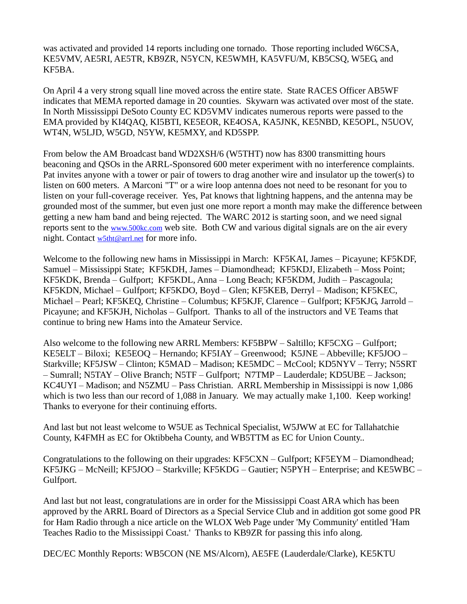was activated and provided 14 reports including one tornado. Those reporting included W6CSA, KE5VMV, AE5RI, AE5TR, KB9ZR, N5YCN, KE5WMH, KA5VFU/M, KB5CSQ, W5EG, and KF5BA.

On April 4 a very strong squall line moved across the entire state. State RACES Officer AB5WF indicates that MEMA reported damage in 20 counties. Skywarn was activated over most of the state. In North Mississippi DeSoto County EC KD5VMV indicates numerous reports were passed to the EMA provided by KI4QAQ, KI5BTI, KE5EOR, KE4OSA, KA5JNK, KE5NBD, KE5OPL, N5UOV, WT4N, W5LJD, W5GD, N5YW, KE5MXY, and KD5SPP.

From below the AM Broadcast band WD2XSH/6 (W5THT) now has 8300 transmitting hours beaconing and QSOs in the ARRL-Sponsored 600 meter experiment with no interference complaints. Pat invites anyone with a tower or pair of towers to drag another wire and insulator up the tower(s) to listen on 600 meters. A Marconi "T" or a wire loop antenna does not need to be resonant for you to listen on your full-coverage receiver. Yes, Pat knows that lightning happens, and the antenna may be grounded most of the summer, but even just one more report a month may make the difference between getting a new ham band and being rejected. The WARC 2012 is starting soon, and we need signal reports sent to the [www.500kc.com](http://www.500kc.com/) web site. Both CW and various digital signals are on the air every night. Contact [w5tht@arrl.net](mailto:w5tht@arrl.net) for more info.

Welcome to the following new hams in Mississippi in March: KF5KAI, James – Picayune; KF5KDF, Samuel – Mississippi State; KF5KDH, James – Diamondhead; KF5KDJ, Elizabeth – Moss Point; KF5KDK, Brenda – Gulfport; KF5KDL, Anna – Long Beach; KF5KDM, Judith – Pascagoula; KF5KDN, Michael – Gulfport; KF5KDO, Boyd – Glen; KF5KEB, Derryl – Madison; KF5KEC, Michael – Pearl; KF5KEQ, Christine – Columbus; KF5KJF, Clarence – Gulfport; KF5KJG, Jarrold – Picayune; and KF5KJH, Nicholas – Gulfport. Thanks to all of the instructors and VE Teams that continue to bring new Hams into the Amateur Service.

Also welcome to the following new ARRL Members: KF5BPW – Saltillo; KF5CXG – Gulfport; KE5ELT – Biloxi; KE5EOQ – Hernando; KF5IAY – Greenwood; K5JNE – Abbeville; KF5JOO – Starkville; KF5JSW – Clinton; K5MAD – Madison; KE5MDC – McCool; KD5NYV – Terry; N5SRT – Sumrall; N5TAY – Olive Branch; N5TF – Gulfport; N7TMP – Lauderdale; KD5UBE – Jackson; KC4UYI – Madison; and N5ZMU – Pass Christian. ARRL Membership in Mississippi is now 1,086 which is two less than our record of 1,088 in January. We may actually make 1,100. Keep working! Thanks to everyone for their continuing efforts.

And last but not least welcome to W5UE as Technical Specialist, W5JWW at EC for Tallahatchie County, K4FMH as EC for Oktibbeha County, and WB5TTM as EC for Union County..

Congratulations to the following on their upgrades: KF5CXN – Gulfport; KF5EYM – Diamondhead; KF5JKG – McNeill; KF5JOO – Starkville; KF5KDG – Gautier; N5PYH – Enterprise; and KE5WBC – Gulfport.

And last but not least, congratulations are in order for the Mississippi Coast ARA which has been approved by the ARRL Board of Directors as a Special Service Club and in addition got some good PR for Ham Radio through a nice article on the WLOX Web Page under 'My Community' entitled 'Ham Teaches Radio to the Mississippi Coast.' Thanks to KB9ZR for passing this info along.

DEC/EC Monthly Reports: WB5CON (NE MS/Alcorn), AE5FE (Lauderdale/Clarke), KE5KTU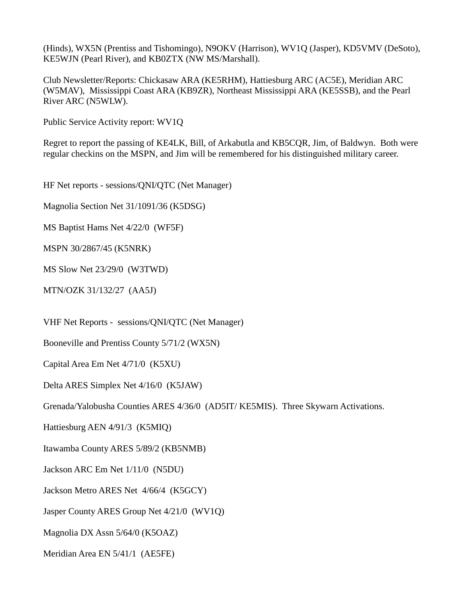(Hinds), WX5N (Prentiss and Tishomingo), N9OKV (Harrison), WV1Q (Jasper), KD5VMV (DeSoto), KE5WJN (Pearl River), and KB0ZTX (NW MS/Marshall).

Club Newsletter/Reports: Chickasaw ARA (KE5RHM), Hattiesburg ARC (AC5E), Meridian ARC (W5MAV), Mississippi Coast ARA (KB9ZR), Northeast Mississippi ARA (KE5SSB), and the Pearl River ARC (N5WLW).

Public Service Activity report: WV1Q

Regret to report the passing of KE4LK, Bill, of Arkabutla and KB5CQR, Jim, of Baldwyn. Both were regular checkins on the MSPN, and Jim will be remembered for his distinguished military career.

HF Net reports - sessions/QNI/QTC (Net Manager)

Magnolia Section Net 31/1091/36 (K5DSG)

MS Baptist Hams Net 4/22/0 (WF5F)

MSPN 30/2867/45 (K5NRK)

MS Slow Net 23/29/0 (W3TWD)

MTN/OZK 31/132/27 (AA5J)

VHF Net Reports - sessions/QNI/QTC (Net Manager)

Booneville and Prentiss County 5/71/2 (WX5N)

Capital Area Em Net 4/71/0 (K5XU)

Delta ARES Simplex Net 4/16/0 (K5JAW)

Grenada/Yalobusha Counties ARES 4/36/0 (AD5IT/ KE5MIS). Three Skywarn Activations.

Hattiesburg AEN 4/91/3 (K5MIQ)

Itawamba County ARES 5/89/2 (KB5NMB)

Jackson ARC Em Net 1/11/0 (N5DU)

Jackson Metro ARES Net 4/66/4 (K5GCY)

Jasper County ARES Group Net 4/21/0 (WV1Q)

Magnolia DX Assn 5/64/0 (K5OAZ)

Meridian Area EN 5/41/1 (AE5FE)